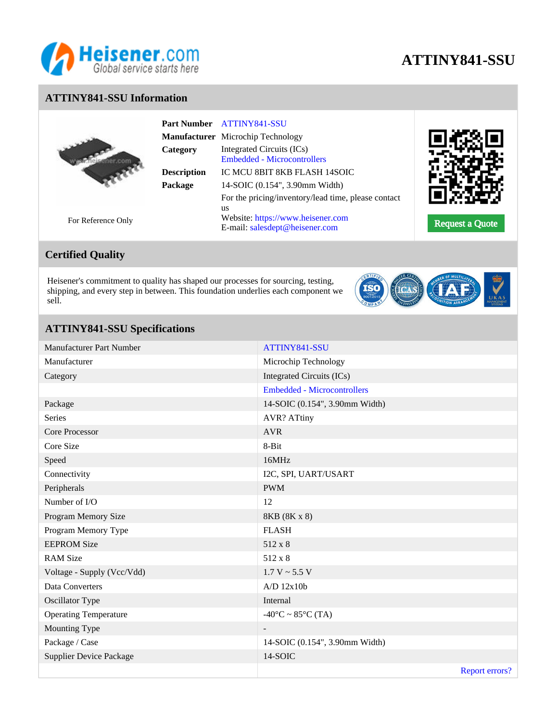

# **ATTINY841-SSU**

### **ATTINY841-SSU Information**

|                    | Category           | Part Number ATTINY841-SSU<br>Manufacturer Microchip Technology<br>Integrated Circuits (ICs) |                        |
|--------------------|--------------------|---------------------------------------------------------------------------------------------|------------------------|
|                    | <b>Description</b> | <b>Embedded - Microcontrollers</b><br>IC MCU 8BIT 8KB FLASH 14SOIC                          |                        |
|                    | Package            | 14-SOIC (0.154", 3.90mm Width)<br>For the pricing/inventory/lead time, please contact       |                        |
| For Reference Only |                    | us<br>Website: https://www.heisener.com<br>E-mail: salesdept@heisener.com                   | <b>Request a Quote</b> |

# **Certified Quality**

Heisener's commitment to quality has shaped our processes for sourcing, testing, shipping, and every step in between. This foundation underlies each component we sell.



## **ATTINY841-SSU Specifications**

| Manufacturer Part Number     | ATTINY841-SSU                      |
|------------------------------|------------------------------------|
| Manufacturer                 | Microchip Technology               |
| Category                     | <b>Integrated Circuits (ICs)</b>   |
|                              | <b>Embedded - Microcontrollers</b> |
| Package                      | 14-SOIC (0.154", 3.90mm Width)     |
| <b>Series</b>                | <b>AVR? ATtiny</b>                 |
| Core Processor               | <b>AVR</b>                         |
| Core Size                    | 8-Bit                              |
| Speed                        | 16MHz                              |
| Connectivity                 | I2C, SPI, UART/USART               |
| Peripherals                  | <b>PWM</b>                         |
| Number of I/O                | 12                                 |
| Program Memory Size          | 8KB (8K x 8)                       |
| Program Memory Type          | <b>FLASH</b>                       |
| <b>EEPROM Size</b>           | 512 x 8                            |
| <b>RAM Size</b>              | 512 x 8                            |
| Voltage - Supply (Vcc/Vdd)   | $1.7 V \sim 5.5 V$                 |
| Data Converters              | $A/D$ 12 $x10b$                    |
| Oscillator Type              | Internal                           |
| <b>Operating Temperature</b> | $-40$ °C ~ 85°C (TA)               |
| Mounting Type                | $\overline{\phantom{a}}$           |
| Package / Case               | 14-SOIC (0.154", 3.90mm Width)     |
| Supplier Device Package      | 14-SOIC                            |
|                              | Report errors?                     |